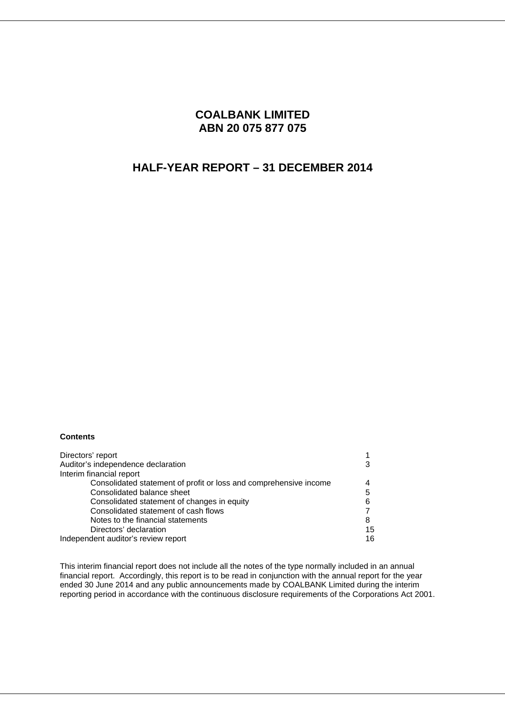# **COALBANK LIMITED ABN 20 075 877 075**

# **HALF-YEAR REPORT – 31 DECEMBER 2014**

### **Contents**

| Directors' report                                                 |    |
|-------------------------------------------------------------------|----|
| Auditor's independence declaration                                |    |
| Interim financial report                                          |    |
| Consolidated statement of profit or loss and comprehensive income |    |
| Consolidated balance sheet                                        | 5  |
| Consolidated statement of changes in equity                       | 6  |
| Consolidated statement of cash flows                              |    |
| Notes to the financial statements                                 | 8  |
| Directors' declaration                                            | 15 |
| Independent auditor's review report                               | 16 |

This interim financial report does not include all the notes of the type normally included in an annual financial report. Accordingly, this report is to be read in conjunction with the annual report for the year ended 30 June 2014 and any public announcements made by COALBANK Limited during the interim reporting period in accordance with the continuous disclosure requirements of the Corporations Act 2001.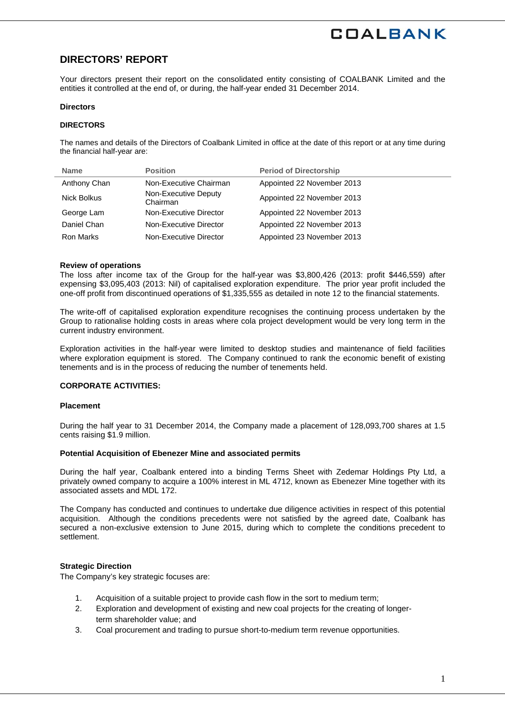# **DIRECTORS' REPORT**

Your directors present their report on the consolidated entity consisting of COALBANK Limited and the entities it controlled at the end of, or during, the half-year ended 31 December 2014.

#### **Directors**

#### **DIRECTORS**

The names and details of the Directors of Coalbank Limited in office at the date of this report or at any time during the financial half-year are:

| <b>Name</b>  | <b>Position</b>                  | <b>Period of Directorship</b> |
|--------------|----------------------------------|-------------------------------|
| Anthony Chan | Non-Executive Chairman           | Appointed 22 November 2013    |
| Nick Bolkus  | Non-Executive Deputy<br>Chairman | Appointed 22 November 2013    |
| George Lam   | Non-Executive Director           | Appointed 22 November 2013    |
| Daniel Chan  | Non-Executive Director           | Appointed 22 November 2013    |
| Ron Marks    | Non-Executive Director           | Appointed 23 November 2013    |

#### **Review of operations**

The loss after income tax of the Group for the half-year was \$3,800,426 (2013: profit \$446,559) after expensing \$3,095,403 (2013: Nil) of capitalised exploration expenditure. The prior year profit included the one-off profit from discontinued operations of \$1,335,555 as detailed in note 12 to the financial statements.

The write-off of capitalised exploration expenditure recognises the continuing process undertaken by the Group to rationalise holding costs in areas where cola project development would be very long term in the current industry environment.

Exploration activities in the half-year were limited to desktop studies and maintenance of field facilities where exploration equipment is stored. The Company continued to rank the economic benefit of existing tenements and is in the process of reducing the number of tenements held.

#### **CORPORATE ACTIVITIES:**

#### **Placement**

During the half year to 31 December 2014, the Company made a placement of 128,093,700 shares at 1.5 cents raising \$1.9 million.

#### **Potential Acquisition of Ebenezer Mine and associated permits**

During the half year, Coalbank entered into a binding Terms Sheet with Zedemar Holdings Pty Ltd, a privately owned company to acquire a 100% interest in ML 4712, known as Ebenezer Mine together with its associated assets and MDL 172.

The Company has conducted and continues to undertake due diligence activities in respect of this potential acquisition. Although the conditions precedents were not satisfied by the agreed date, Coalbank has secured a non-exclusive extension to June 2015, during which to complete the conditions precedent to settlement.

#### **Strategic Direction**

The Company's key strategic focuses are:

- 1. Acquisition of a suitable project to provide cash flow in the sort to medium term;
- 2. Exploration and development of existing and new coal projects for the creating of longerterm shareholder value; and
- 3. Coal procurement and trading to pursue short-to-medium term revenue opportunities.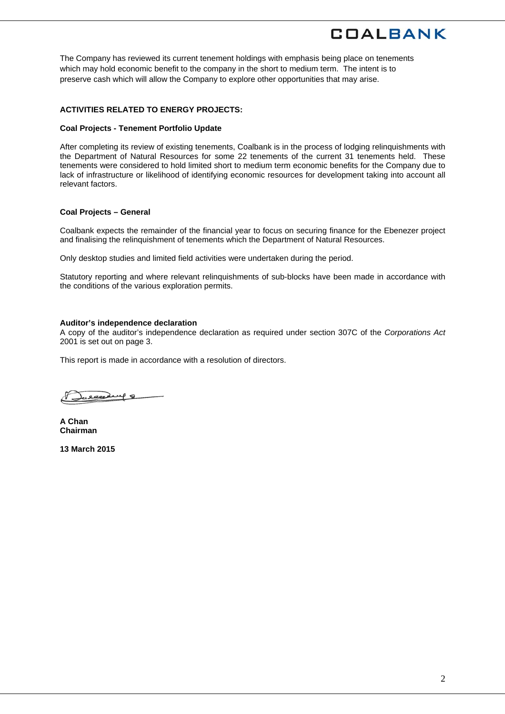The Company has reviewed its current tenement holdings with emphasis being place on tenements which may hold economic benefit to the company in the short to medium term. The intent is to preserve cash which will allow the Company to explore other opportunities that may arise.

#### **ACTIVITIES RELATED TO ENERGY PROJECTS:**

#### **Coal Projects - Tenement Portfolio Update**

After completing its review of existing tenements, Coalbank is in the process of lodging relinquishments with the Department of Natural Resources for some 22 tenements of the current 31 tenements held. These tenements were considered to hold limited short to medium term economic benefits for the Company due to lack of infrastructure or likelihood of identifying economic resources for development taking into account all relevant factors.

#### **Coal Projects – General**

Coalbank expects the remainder of the financial year to focus on securing finance for the Ebenezer project and finalising the relinquishment of tenements which the Department of Natural Resources.

Only desktop studies and limited field activities were undertaken during the period.

Statutory reporting and where relevant relinquishments of sub-blocks have been made in accordance with the conditions of the various exploration permits.

#### **Auditor's independence declaration**

A copy of the auditor's independence declaration as required under section 307C of the *Corporations Act*  2001 is set out on page 3.

This report is made in accordance with a resolution of directors.

1eachery 8

**A Chan Chairman** 

**13 March 2015**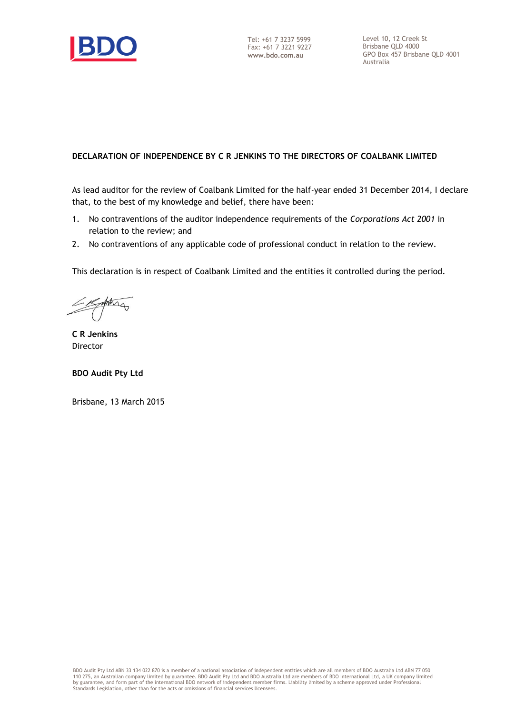

Level 10, 12 Creek St Brisbane QLD 4000 GPO Box 457 Brisbane QLD 4001 Australia

## **DECLARATION OF INDEPENDENCE BY C R JENKINS TO THE DIRECTORS OF COALBANK LIMITED**

As lead auditor for the review of Coalbank Limited for the half-year ended 31 December 2014, I declare that, to the best of my knowledge and belief, there have been:

- 1. No contraventions of the auditor independence requirements of the *Corporations Act 2001* in relation to the review; and
- 2. No contraventions of any applicable code of professional conduct in relation to the review.

This declaration is in respect of Coalbank Limited and the entities it controlled during the period.

forting

**C R Jenkins** Director

**BDO Audit Pty Ltd**

Brisbane, 13 March 2015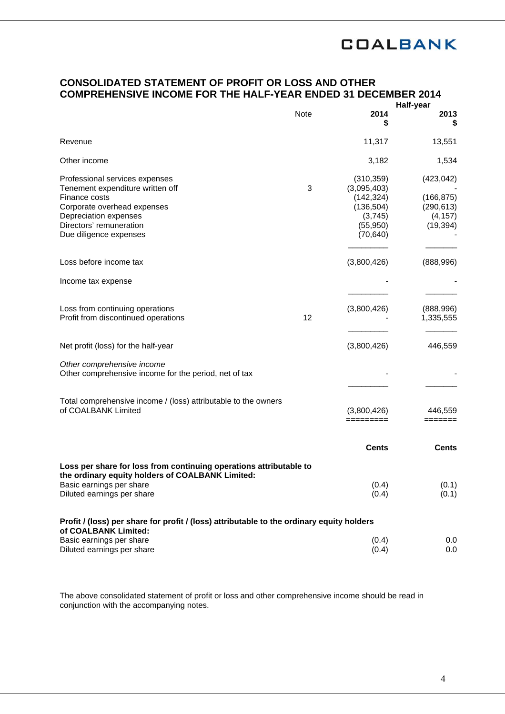## **CONSOLIDATED STATEMENT OF PROFIT OR LOSS AND OTHER COMPREHENSIVE INCOME FOR THE HALF-YEAR ENDED 31 DECEMBER 2014**

|                                                                                                                                                                                                  |             |                                                                                            | Half-year                                                       |
|--------------------------------------------------------------------------------------------------------------------------------------------------------------------------------------------------|-------------|--------------------------------------------------------------------------------------------|-----------------------------------------------------------------|
|                                                                                                                                                                                                  | <b>Note</b> | 2014<br>\$                                                                                 | 2013<br>\$                                                      |
| Revenue                                                                                                                                                                                          |             | 11,317                                                                                     | 13,551                                                          |
| Other income                                                                                                                                                                                     |             | 3,182                                                                                      | 1,534                                                           |
| Professional services expenses<br>Tenement expenditure written off<br>Finance costs<br>Corporate overhead expenses<br>Depreciation expenses<br>Directors' remuneration<br>Due diligence expenses | 3           | (310, 359)<br>(3,095,403)<br>(142, 324)<br>(136, 504)<br>(3,745)<br>(55, 950)<br>(70, 640) | (423, 042)<br>(166, 875)<br>(290, 613)<br>(4, 157)<br>(19, 394) |
| Loss before income tax                                                                                                                                                                           |             | (3,800,426)                                                                                | (888,996)                                                       |
| Income tax expense                                                                                                                                                                               |             |                                                                                            |                                                                 |
| Loss from continuing operations<br>Profit from discontinued operations                                                                                                                           | 12          | (3,800,426)                                                                                | (888, 996)<br>1,335,555                                         |
| Net profit (loss) for the half-year                                                                                                                                                              |             | (3,800,426)                                                                                | 446,559                                                         |
| Other comprehensive income<br>Other comprehensive income for the period, net of tax                                                                                                              |             |                                                                                            |                                                                 |
| Total comprehensive income / (loss) attributable to the owners<br>of COALBANK Limited                                                                                                            |             | (3,800,426)<br>=========                                                                   | 446,559<br>=======                                              |
|                                                                                                                                                                                                  |             | <b>Cents</b>                                                                               | <b>Cents</b>                                                    |
| Loss per share for loss from continuing operations attributable to<br>the ordinary equity holders of COALBANK Limited:<br>Basic earnings per share<br>Diluted earnings per share                 |             | (0.4)<br>(0.4)                                                                             | (0.1)<br>(0.1)                                                  |
| Profit / (loss) per share for profit / (loss) attributable to the ordinary equity holders<br>of COALBANK Limited:                                                                                |             |                                                                                            |                                                                 |
| Basic earnings per share<br>Diluted earnings per share                                                                                                                                           |             | (0.4)<br>(0.4)                                                                             | 0.0<br>0.0                                                      |

The above consolidated statement of profit or loss and other comprehensive income should be read in conjunction with the accompanying notes.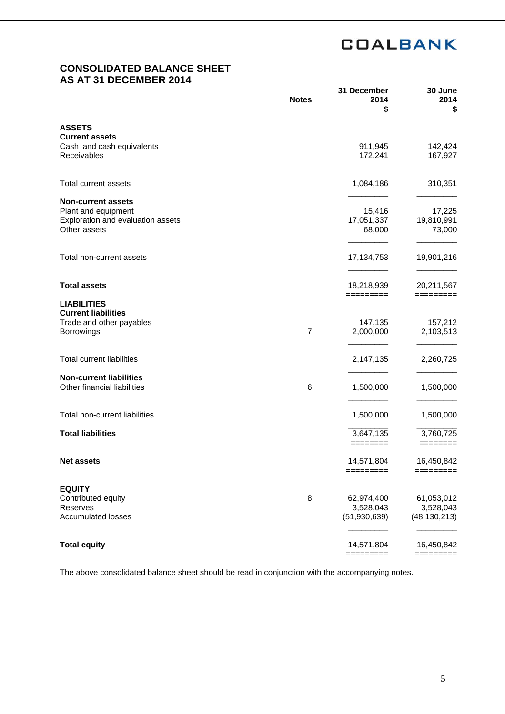# **CONSOLIDATED BALANCE SHEET AS AT 31 DECEMBER 2014**

|                                          | <b>Notes</b>   | 31 December<br>2014<br>\$ | 30 June<br>2014<br>\$    |
|------------------------------------------|----------------|---------------------------|--------------------------|
| <b>ASSETS</b>                            |                |                           |                          |
| <b>Current assets</b>                    |                |                           |                          |
| Cash and cash equivalents<br>Receivables |                | 911,945                   | 142,424                  |
|                                          |                | 172,241                   | 167,927                  |
| <b>Total current assets</b>              |                | 1,084,186                 | 310,351                  |
| <b>Non-current assets</b>                |                |                           |                          |
| Plant and equipment                      |                | 15,416                    | 17,225                   |
| Exploration and evaluation assets        |                | 17,051,337                | 19,810,991               |
| Other assets                             |                | 68,000                    | 73,000                   |
|                                          |                |                           |                          |
| Total non-current assets                 |                | 17, 134, 753              | 19,901,216               |
|                                          |                |                           |                          |
| <b>Total assets</b>                      |                | 18,218,939<br>=========   | 20,211,567<br>=========  |
| <b>LIABILITIES</b>                       |                |                           |                          |
| <b>Current liabilities</b>               |                |                           |                          |
| Trade and other payables                 |                | 147,135                   | 157,212                  |
| Borrowings                               | $\overline{7}$ | 2,000,000                 | 2,103,513                |
| <b>Total current liabilities</b>         |                | 2,147,135                 | 2,260,725                |
|                                          |                |                           |                          |
| <b>Non-current liabilities</b>           |                |                           |                          |
| Other financial liabilities              | 6              | 1,500,000                 | 1,500,000                |
| Total non-current liabilities            |                | 1,500,000                 | 1,500,000                |
| <b>Total liabilities</b>                 |                |                           |                          |
|                                          |                | 3,647,135<br>========     | 3,760,725<br>$=$ ======= |
| <b>Net assets</b>                        |                | 14,571,804                | 16,450,842               |
|                                          |                | =========                 | =========                |
| <b>EQUITY</b>                            |                |                           |                          |
| Contributed equity                       | 8              | 62,974,400                | 61,053,012               |
| Reserves                                 |                | 3,528,043                 | 3,528,043                |
| <b>Accumulated losses</b>                |                | (51, 930, 639)            | (48, 130, 213)           |
| <b>Total equity</b>                      |                | 14,571,804                | 16,450,842               |
|                                          |                | $=$ ========              | =========                |

The above consolidated balance sheet should be read in conjunction with the accompanying notes.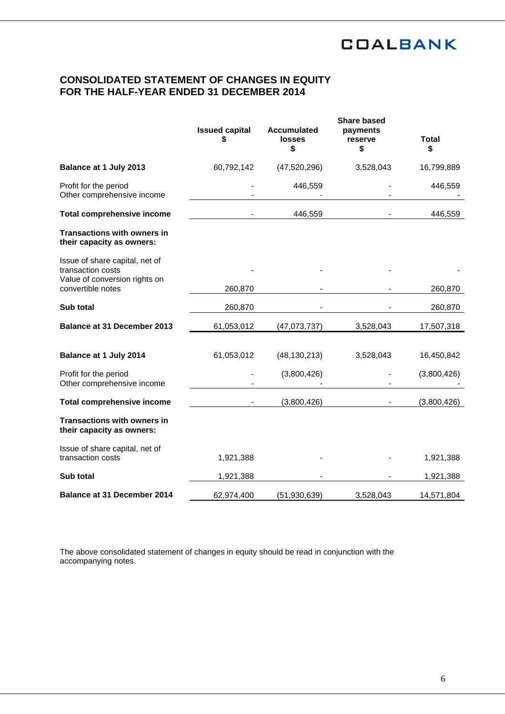# **CONSOLIDATED STATEMENT OF CHANGES IN EQUITY FOR THE HALF-YEAR ENDED 31 DECEMBER 2014**

|                                                                                      | <b>Issued capital</b><br>S | <b>Accumulated</b><br><b>losses</b><br>\$ | <b>Share based</b><br>payments<br>reserve<br>\$ | <b>Total</b><br>\$ |
|--------------------------------------------------------------------------------------|----------------------------|-------------------------------------------|-------------------------------------------------|--------------------|
| Balance at 1 July 2013                                                               | 60,792,142                 | (47,520,296)                              | 3,528,043                                       | 16,799,889         |
| Profit for the period<br>Other comprehensive income                                  |                            | 446,559                                   |                                                 | 446,559            |
| <b>Total comprehensive income</b>                                                    |                            | 446,559                                   |                                                 | 446,559            |
| <b>Transactions with owners in</b><br>their capacity as owners:                      |                            |                                           |                                                 |                    |
| Issue of share capital, net of<br>transaction costs<br>Value of conversion rights on |                            |                                           |                                                 |                    |
| convertible notes                                                                    | 260,870                    |                                           |                                                 | 260,870            |
| Sub total                                                                            | 260,870                    |                                           |                                                 | 260,870            |
| <b>Balance at 31 December 2013</b>                                                   | 61,053,012                 | (47,073,737)                              | 3,528,043                                       | 17,507,318         |
| Balance at 1 July 2014                                                               | 61,053,012                 | (48, 130, 213)                            | 3,528,043                                       | 16,450,842         |
| Profit for the period<br>Other comprehensive income                                  |                            | (3,800,426)                               |                                                 | (3,800,426)        |
| <b>Total comprehensive income</b>                                                    |                            | (3,800,426)                               |                                                 | (3,800,426)        |
| <b>Transactions with owners in</b><br>their capacity as owners:                      |                            |                                           |                                                 |                    |
| Issue of share capital, net of<br>transaction costs                                  | 1,921,388                  |                                           |                                                 | 1,921,388          |
| Sub total                                                                            | 1,921,388                  |                                           |                                                 | 1,921,388          |
| Balance at 31 December 2014                                                          | 62,974,400                 | (51, 930, 639)                            | 3,528,043                                       | 14,571,804         |

The above consolidated statement of changes in equity should be read in conjunction with the accompanying notes.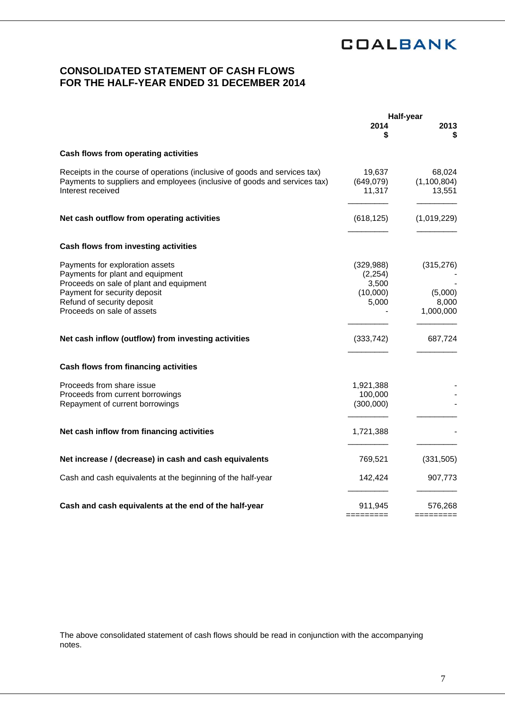# **CONSOLIDATED STATEMENT OF CASH FLOWS FOR THE HALF-YEAR ENDED 31 DECEMBER 2014**

|                                                                                                                                                                                                            |                                                      | Half-year                                   |
|------------------------------------------------------------------------------------------------------------------------------------------------------------------------------------------------------------|------------------------------------------------------|---------------------------------------------|
|                                                                                                                                                                                                            | 2014<br>\$                                           | 2013<br>S                                   |
| Cash flows from operating activities                                                                                                                                                                       |                                                      |                                             |
| Receipts in the course of operations (inclusive of goods and services tax)<br>Payments to suppliers and employees (inclusive of goods and services tax)<br>Interest received                               | 19,637<br>(649,079)<br>11,317                        | 68,024<br>(1, 100, 804)<br>13,551           |
| Net cash outflow from operating activities                                                                                                                                                                 | (618, 125)                                           | (1,019,229)                                 |
| Cash flows from investing activities                                                                                                                                                                       |                                                      |                                             |
| Payments for exploration assets<br>Payments for plant and equipment<br>Proceeds on sale of plant and equipment<br>Payment for security deposit<br>Refund of security deposit<br>Proceeds on sale of assets | (329, 988)<br>(2, 254)<br>3,500<br>(10,000)<br>5,000 | (315, 276)<br>(5,000)<br>8,000<br>1,000,000 |
| Net cash inflow (outflow) from investing activities                                                                                                                                                        | (333, 742)                                           | 687,724                                     |
| Cash flows from financing activities                                                                                                                                                                       |                                                      |                                             |
| Proceeds from share issue<br>Proceeds from current borrowings<br>Repayment of current borrowings                                                                                                           | 1,921,388<br>100,000<br>(300,000)                    |                                             |
| Net cash inflow from financing activities                                                                                                                                                                  | 1,721,388                                            |                                             |
| Net increase / (decrease) in cash and cash equivalents                                                                                                                                                     | 769,521                                              | (331, 505)                                  |
| Cash and cash equivalents at the beginning of the half-year                                                                                                                                                | 142,424                                              | 907,773                                     |
| Cash and cash equivalents at the end of the half-year                                                                                                                                                      | 911,945<br>=======                                   | 576,268<br>=========                        |

The above consolidated statement of cash flows should be read in conjunction with the accompanying notes.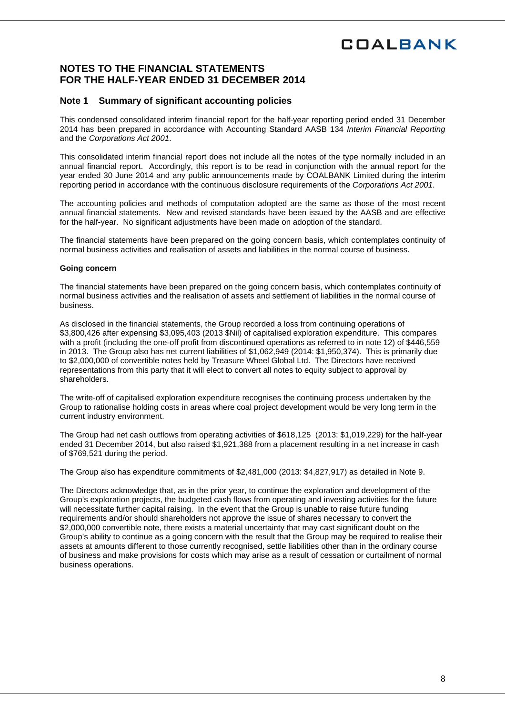# **NOTES TO THE FINANCIAL STATEMENTS FOR THE HALF-YEAR ENDED 31 DECEMBER 2014**

## **Note 1 Summary of significant accounting policies**

This condensed consolidated interim financial report for the half-year reporting period ended 31 December 2014 has been prepared in accordance with Accounting Standard AASB 134 *Interim Financial Reporting*  and the *Corporations Act 2001*.

This consolidated interim financial report does not include all the notes of the type normally included in an annual financial report. Accordingly, this report is to be read in conjunction with the annual report for the year ended 30 June 2014 and any public announcements made by COALBANK Limited during the interim reporting period in accordance with the continuous disclosure requirements of the *Corporations Act 2001*.

The accounting policies and methods of computation adopted are the same as those of the most recent annual financial statements. New and revised standards have been issued by the AASB and are effective for the half-year. No significant adjustments have been made on adoption of the standard.

The financial statements have been prepared on the going concern basis, which contemplates continuity of normal business activities and realisation of assets and liabilities in the normal course of business.

#### **Going concern**

The financial statements have been prepared on the going concern basis, which contemplates continuity of normal business activities and the realisation of assets and settlement of liabilities in the normal course of business.

As disclosed in the financial statements, the Group recorded a loss from continuing operations of \$3,800,426 after expensing \$3,095,403 (2013 \$Nil) of capitalised exploration expenditure. This compares with a profit (including the one-off profit from discontinued operations as referred to in note 12) of \$446,559 in 2013. The Group also has net current liabilities of \$1,062,949 (2014: \$1,950,374). This is primarily due to \$2,000,000 of convertible notes held by Treasure Wheel Global Ltd. The Directors have received representations from this party that it will elect to convert all notes to equity subject to approval by shareholders.

The write-off of capitalised exploration expenditure recognises the continuing process undertaken by the Group to rationalise holding costs in areas where coal project development would be very long term in the current industry environment.

The Group had net cash outflows from operating activities of \$618,125 (2013: \$1,019,229) for the half-year ended 31 December 2014, but also raised \$1,921,388 from a placement resulting in a net increase in cash of \$769,521 during the period.

The Group also has expenditure commitments of \$2,481,000 (2013: \$4,827,917) as detailed in Note 9.

The Directors acknowledge that, as in the prior year, to continue the exploration and development of the Group's exploration projects, the budgeted cash flows from operating and investing activities for the future will necessitate further capital raising. In the event that the Group is unable to raise future funding requirements and/or should shareholders not approve the issue of shares necessary to convert the \$2,000,000 convertible note, there exists a material uncertainty that may cast significant doubt on the Group's ability to continue as a going concern with the result that the Group may be required to realise their assets at amounts different to those currently recognised, settle liabilities other than in the ordinary course of business and make provisions for costs which may arise as a result of cessation or curtailment of normal business operations.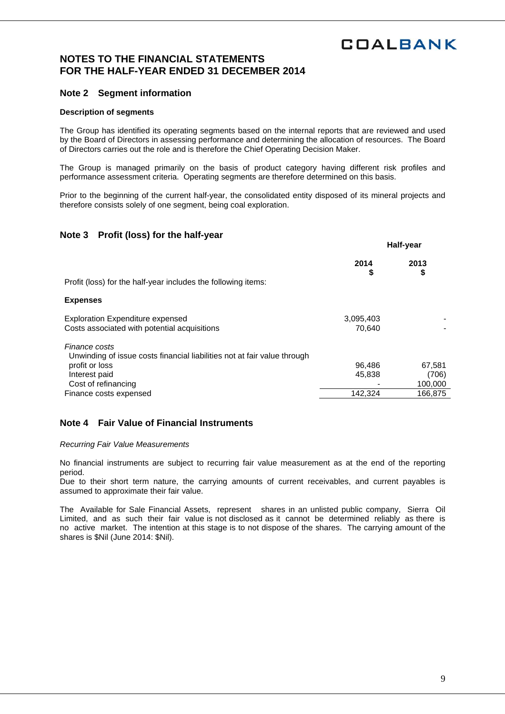## **NOTES TO THE FINANCIAL STATEMENTS FOR THE HALF-YEAR ENDED 31 DECEMBER 2014**

## **Note 2 Segment information**

#### **Description of segments**

The Group has identified its operating segments based on the internal reports that are reviewed and used by the Board of Directors in assessing performance and determining the allocation of resources. The Board of Directors carries out the role and is therefore the Chief Operating Decision Maker.

The Group is managed primarily on the basis of product category having different risk profiles and performance assessment criteria. Operating segments are therefore determined on this basis.

Prior to the beginning of the current half-year, the consolidated entity disposed of its mineral projects and therefore consists solely of one segment, being coal exploration.

### **Note 3 Profit (loss) for the half-year**

|                                                                                                                                                     | Half-year           |                            |
|-----------------------------------------------------------------------------------------------------------------------------------------------------|---------------------|----------------------------|
| Profit (loss) for the half-year includes the following items:                                                                                       | 2014<br>\$          | 2013<br>\$                 |
| <b>Expenses</b>                                                                                                                                     |                     |                            |
| <b>Exploration Expenditure expensed</b><br>Costs associated with potential acquisitions                                                             | 3,095,403<br>70.640 |                            |
| Finance costs<br>Unwinding of issue costs financial liabilities not at fair value through<br>profit or loss<br>Interest paid<br>Cost of refinancing | 96,486<br>45,838    | 67,581<br>(706)<br>100,000 |
| Finance costs expensed                                                                                                                              | 142,324             | 166,875                    |

## **Note 4 Fair Value of Financial Instruments**

*Recurring Fair Value Measurements* 

No financial instruments are subject to recurring fair value measurement as at the end of the reporting period.

Due to their short term nature, the carrying amounts of current receivables, and current payables is assumed to approximate their fair value.

The Available for Sale Financial Assets, represent shares in an unlisted public company, Sierra Oil Limited, and as such their fair value is not disclosed as it cannot be determined reliably as there is no active market. The intention at this stage is to not dispose of the shares. The carrying amount of the shares is \$Nil (June 2014: \$Nil).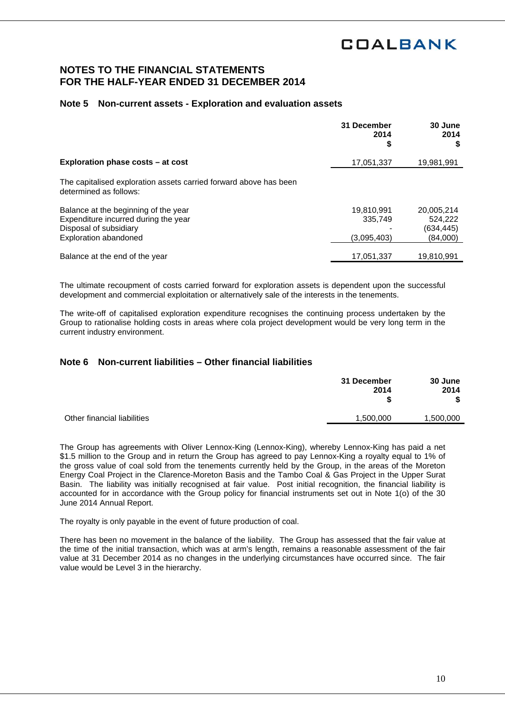## **NOTES TO THE FINANCIAL STATEMENTS FOR THE HALF-YEAR ENDED 31 DECEMBER 2014**

### **Note 5 Non-current assets - Exploration and evaluation assets**

|                                                                                                                                        | 31 December<br>2014<br>\$            | 30 June<br>2014<br>S                            |
|----------------------------------------------------------------------------------------------------------------------------------------|--------------------------------------|-------------------------------------------------|
| Exploration phase costs – at cost                                                                                                      | 17,051,337                           | 19,981,991                                      |
| The capitalised exploration assets carried forward above has been<br>determined as follows:                                            |                                      |                                                 |
| Balance at the beginning of the year<br>Expenditure incurred during the year<br>Disposal of subsidiary<br><b>Exploration abandoned</b> | 19,810,991<br>335.749<br>(3,095,403) | 20,005,214<br>524.222<br>(634, 445)<br>(84,000) |
| Balance at the end of the year                                                                                                         | 17.051.337                           | 19.810.991                                      |

The ultimate recoupment of costs carried forward for exploration assets is dependent upon the successful development and commercial exploitation or alternatively sale of the interests in the tenements.

The write-off of capitalised exploration expenditure recognises the continuing process undertaken by the Group to rationalise holding costs in areas where cola project development would be very long term in the current industry environment.

### **Note 6 Non-current liabilities – Other financial liabilities**

|                             | 31 December<br>2014 | 30 June<br>2014<br>\$ |
|-----------------------------|---------------------|-----------------------|
| Other financial liabilities | 1,500,000           | 1,500,000             |
|                             |                     |                       |

The Group has agreements with Oliver Lennox-King (Lennox-King), whereby Lennox-King has paid a net \$1.5 million to the Group and in return the Group has agreed to pay Lennox-King a royalty equal to 1% of the gross value of coal sold from the tenements currently held by the Group, in the areas of the Moreton Energy Coal Project in the Clarence-Moreton Basis and the Tambo Coal & Gas Project in the Upper Surat Basin. The liability was initially recognised at fair value. Post initial recognition, the financial liability is accounted for in accordance with the Group policy for financial instruments set out in Note 1(o) of the 30 June 2014 Annual Report.

The royalty is only payable in the event of future production of coal.

There has been no movement in the balance of the liability. The Group has assessed that the fair value at the time of the initial transaction, which was at arm's length, remains a reasonable assessment of the fair value at 31 December 2014 as no changes in the underlying circumstances have occurred since. The fair value would be Level 3 in the hierarchy.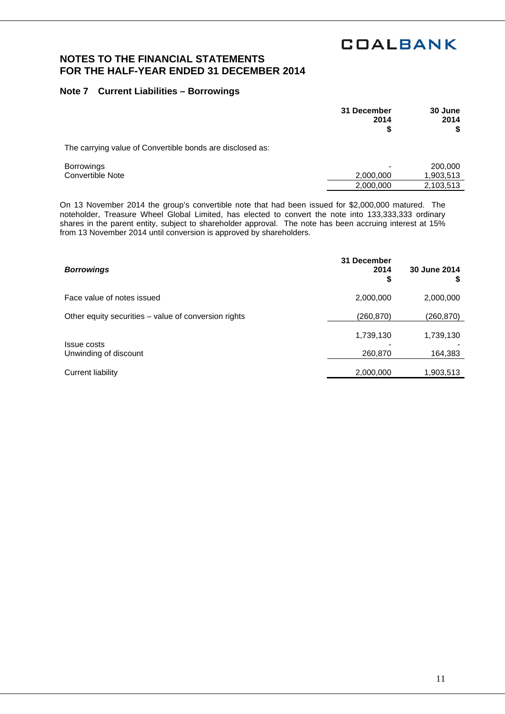2,000,000 2,103,513

## **NOTES TO THE FINANCIAL STATEMENTS FOR THE HALF-YEAR ENDED 31 DECEMBER 2014**

## **Note 7 Current Liabilities – Borrowings**

|                                                           | 31 December<br>2014 | 30 June<br>2014      |
|-----------------------------------------------------------|---------------------|----------------------|
| The carrying value of Convertible bonds are disclosed as: |                     |                      |
| <b>Borrowings</b><br>Convertible Note                     | 2,000,000           | 200,000<br>1,903,513 |

On 13 November 2014 the group's convertible note that had been issued for \$2,000,000 matured. The noteholder, Treasure Wheel Global Limited, has elected to convert the note into 133,333,333 ordinary shares in the parent entity, subject to shareholder approval. The note has been accruing interest at 15% from 13 November 2014 until conversion is approved by shareholders.

| <b>Borrowings</b>                                    | 31 December<br>2014<br>\$ | 30 June 2014<br>P    |
|------------------------------------------------------|---------------------------|----------------------|
| Face value of notes issued                           | 2,000,000                 | 2,000,000            |
| Other equity securities - value of conversion rights | (260, 870)                | (260,870)            |
| Issue costs<br>Unwinding of discount                 | 1,739,130<br>260,870      | 1,739,130<br>164,383 |
| Current liability                                    | 2,000,000                 | 1,903,513            |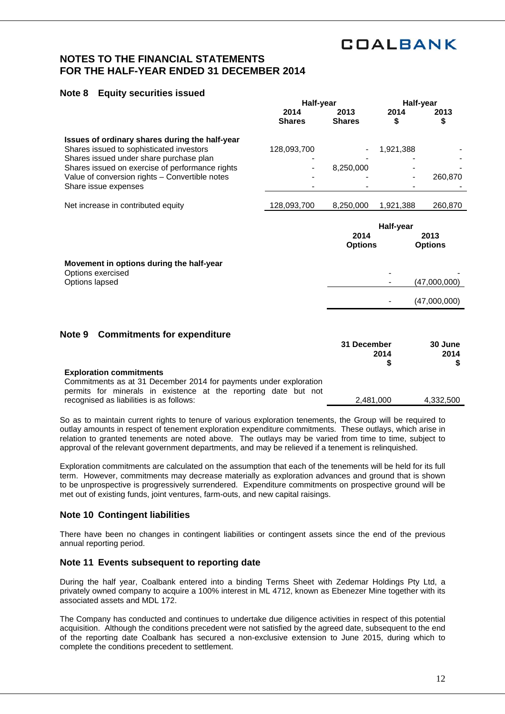- - -

(47,000,000)

- (47,000,000)

## **NOTES TO THE FINANCIAL STATEMENTS FOR THE HALF-YEAR ENDED 31 DECEMBER 2014**

## **Note 8 Equity securities issued**

|                                                 | Half-year      | Half-year      |           |                |
|-------------------------------------------------|----------------|----------------|-----------|----------------|
|                                                 | 2014           | 2013           | 2014      | 2013           |
|                                                 | <b>Shares</b>  | <b>Shares</b>  | \$        | \$             |
| Issues of ordinary shares during the half-year  |                |                |           |                |
| Shares issued to sophisticated investors        | 128,093,700    |                | 1,921,388 |                |
| Shares issued under share purchase plan         |                |                |           |                |
| Shares issued on exercise of performance rights | $\blacksquare$ | 8,250,000      |           |                |
| Value of conversion rights - Convertible notes  |                |                |           | 260,870        |
| Share issue expenses                            |                |                |           |                |
| Net increase in contributed equity              | 128,093,700    | 8,250,000      | 1,921,388 | 260,870        |
|                                                 |                |                |           |                |
|                                                 |                | 2014           | Half-year | 2013           |
|                                                 |                | <b>Options</b> |           | <b>Options</b> |

**Movement in options during the half-year**  Options exercised Options lapsed

## **Note 9 Commitments for expenditure**

|                                                                   | 31 December<br>2014 | 30 June<br>2014<br>S. |
|-------------------------------------------------------------------|---------------------|-----------------------|
|                                                                   |                     |                       |
|                                                                   |                     |                       |
| <b>Exploration commitments</b>                                    |                     |                       |
| Commitments as at 31 December 2014 for payments under exploration |                     |                       |
| permits for minerals in existence at the reporting date but not   |                     |                       |
| recognised as liabilities is as follows:                          | 2.481.000           | 4.332.500             |

So as to maintain current rights to tenure of various exploration tenements, the Group will be required to outlay amounts in respect of tenement exploration expenditure commitments. These outlays, which arise in relation to granted tenements are noted above. The outlays may be varied from time to time, subject to approval of the relevant government departments, and may be relieved if a tenement is relinquished.

Exploration commitments are calculated on the assumption that each of the tenements will be held for its full term. However, commitments may decrease materially as exploration advances and ground that is shown to be unprospective is progressively surrendered. Expenditure commitments on prospective ground will be met out of existing funds, joint ventures, farm-outs, and new capital raisings.

### **Note 10 Contingent liabilities**

There have been no changes in contingent liabilities or contingent assets since the end of the previous annual reporting period.

## **Note 11 Events subsequent to reporting date**

During the half year, Coalbank entered into a binding Terms Sheet with Zedemar Holdings Pty Ltd, a privately owned company to acquire a 100% interest in ML 4712, known as Ebenezer Mine together with its associated assets and MDL 172.

The Company has conducted and continues to undertake due diligence activities in respect of this potential acquisition. Although the conditions precedent were not satisfied by the agreed date, subsequent to the end of the reporting date Coalbank has secured a non-exclusive extension to June 2015, during which to complete the conditions precedent to settlement.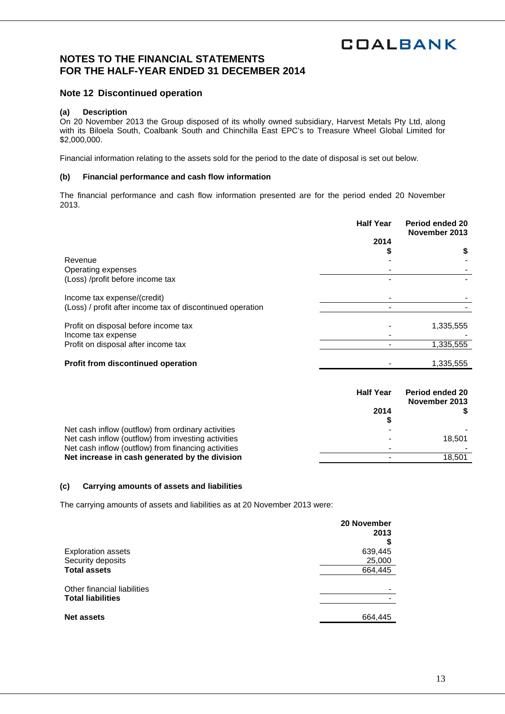## **NOTES TO THE FINANCIAL STATEMENTS FOR THE HALF-YEAR ENDED 31 DECEMBER 2014**

## **Note 12 Discontinued operation**

### **(a) Description**

On 20 November 2013 the Group disposed of its wholly owned subsidiary, Harvest Metals Pty Ltd, along with its Biloela South, Coalbank South and Chinchilla East EPC's to Treasure Wheel Global Limited for \$2,000,000.

Financial information relating to the assets sold for the period to the date of disposal is set out below.

#### **(b) Financial performance and cash flow information**

The financial performance and cash flow information presented are for the period ended 20 November 2013.

|                                                            | <b>Half Year</b> | Period ended 20<br>November 2013 |
|------------------------------------------------------------|------------------|----------------------------------|
|                                                            | 2014             |                                  |
|                                                            |                  | \$                               |
| Revenue                                                    |                  |                                  |
| Operating expenses                                         |                  |                                  |
| (Loss) /profit before income tax                           |                  |                                  |
| Income tax expense/(credit)                                |                  |                                  |
| (Loss) / profit after income tax of discontinued operation |                  |                                  |
| Profit on disposal before income tax                       |                  | 1,335,555                        |
| Income tax expense                                         |                  |                                  |
| Profit on disposal after income tax                        |                  | 1,335,555                        |
|                                                            |                  |                                  |
| <b>Profit from discontinued operation</b>                  |                  | 1,335,555                        |

|                                                     | <b>Half Year</b><br>2014 | <b>Period ended 20</b><br>November 2013 |
|-----------------------------------------------------|--------------------------|-----------------------------------------|
|                                                     |                          |                                         |
| Net cash inflow (outflow) from ordinary activities  |                          |                                         |
| Net cash inflow (outflow) from investing activities |                          | 18.501                                  |
| Net cash inflow (outflow) from financing activities |                          |                                         |
| Net increase in cash generated by the division      |                          | 18.501                                  |
|                                                     |                          |                                         |

#### **(c) Carrying amounts of assets and liabilities**

The carrying amounts of assets and liabilities as at 20 November 2013 were:

|                             | 20 November<br>2013 |
|-----------------------------|---------------------|
|                             |                     |
| <b>Exploration assets</b>   | 639,445             |
| Security deposits           | 25,000              |
| <b>Total assets</b>         | 664,445             |
| Other financial liabilities |                     |
| <b>Total liabilities</b>    |                     |
| <b>Net assets</b>           | 664,445             |
|                             |                     |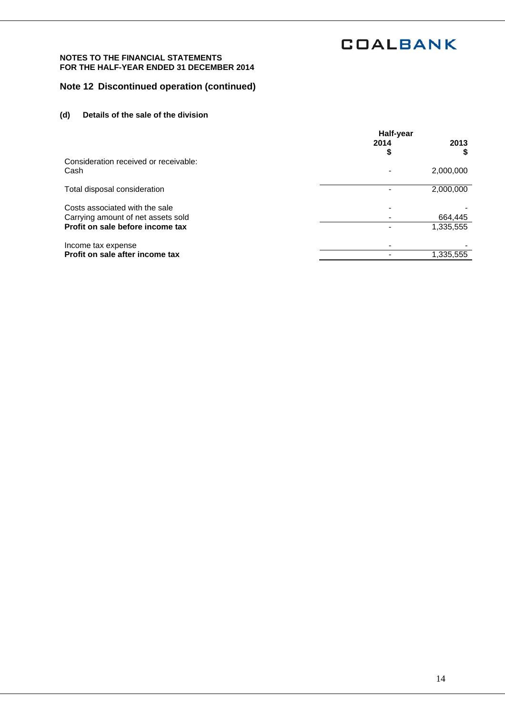#### **NOTES TO THE FINANCIAL STATEMENTS FOR THE HALF-YEAR ENDED 31 DECEMBER 2014**

# **Note 12 Discontinued operation (continued)**

## **(d) Details of the sale of the division**

|                                       | Half-year |           |
|---------------------------------------|-----------|-----------|
|                                       | 2014      | 2013<br>S |
| Consideration received or receivable: |           |           |
| Cash                                  |           | 2,000,000 |
| Total disposal consideration          |           | 2,000,000 |
| Costs associated with the sale        |           |           |
| Carrying amount of net assets sold    |           | 664,445   |
| Profit on sale before income tax      |           | 1,335,555 |
| Income tax expense                    |           |           |
| Profit on sale after income tax       |           | 1,335,555 |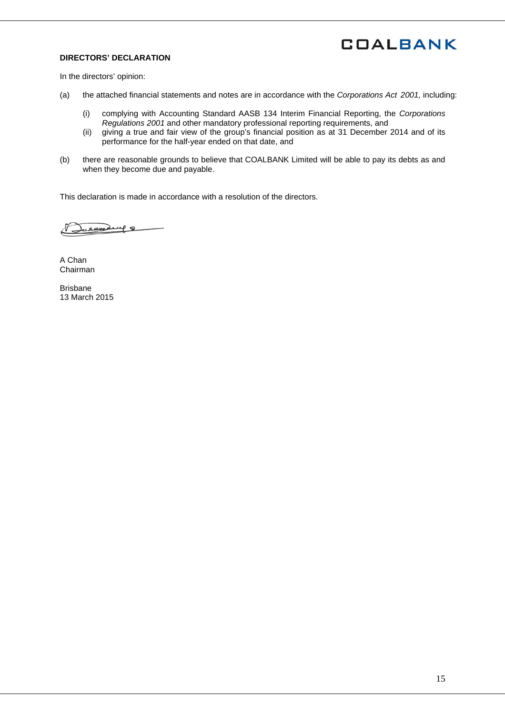## **DIRECTORS' DECLARATION**

In the directors' opinion:

- (a) the attached financial statements and notes are in accordance with the *Corporations Act 2001,* including:
	- (i) complying with Accounting Standard AASB 134 Interim Financial Reporting, the *Corporations Regulations 2001* and other mandatory professional reporting requirements, and
	- (ii) giving a true and fair view of the group's financial position as at 31 December 2014 and of its performance for the half-year ended on that date, and
- (b) there are reasonable grounds to believe that COALBANK Limited will be able to pay its debts as and when they become due and payable.

This declaration is made in accordance with a resolution of the directors.

celesting 8

A Chan Chairman

Brisbane 13 March 2015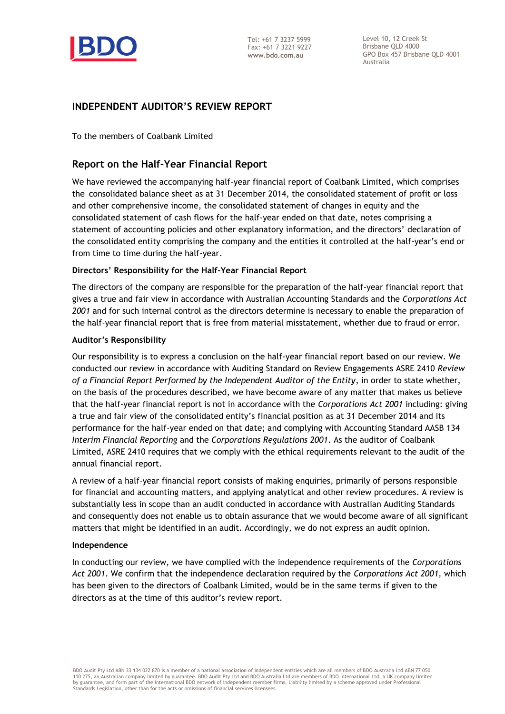

Level 10, 12 Creek St Brisbane QLD 4000 GPO Box 457 Brisbane QLD 4001 Australia

# **INDEPENDENT AUDITOR'S REVIEW REPORT**

To the members of Coalbank Limited

# **Report on the Half-Year Financial Report**

We have reviewed the accompanying half-year financial report of Coalbank Limited, which comprises the consolidated balance sheet as at 31 December 2014, the consolidated statement of profit or loss and other comprehensive income, the consolidated statement of changes in equity and the consolidated statement of cash flows for the half-year ended on that date, notes comprising a statement of accounting policies and other explanatory information, and the directors' declaration of the consolidated entity comprising the company and the entities it controlled at the half-year's end or from time to time during the half-year.

## **Directors' Responsibility for the Half-Year Financial Report**

The directors of the company are responsible for the preparation of the half-year financial report that gives a true and fair view in accordance with Australian Accounting Standards and the *Corporations Act 2001* and for such internal control as the directors determine is necessary to enable the preparation of the half-year financial report that is free from material misstatement, whether due to fraud or error.

### **Auditor's Responsibility**

Our responsibility is to express a conclusion on the half-year financial report based on our review. We conducted our review in accordance with Auditing Standard on Review Engagements ASRE 2410 *Review of a Financial Report Performed by the Independent Auditor of the Entity*, in order to state whether, on the basis of the procedures described, we have become aware of any matter that makes us believe that the half-year financial report is not in accordance with the *Corporations Act 2001* including: giving a true and fair view of the consolidated entity's financial position as at 31 December 2014 and its performance for the half-year ended on that date; and complying with Accounting Standard AASB 134 *Interim Financial Reporting* and the *Corporations Regulations 2001*. As the auditor of Coalbank Limited, ASRE 2410 requires that we comply with the ethical requirements relevant to the audit of the annual financial report.

A review of a half-year financial report consists of making enquiries, primarily of persons responsible for financial and accounting matters, and applying analytical and other review procedures. A review is substantially less in scope than an audit conducted in accordance with Australian Auditing Standards and consequently does not enable us to obtain assurance that we would become aware of all significant matters that might be identified in an audit. Accordingly, we do not express an audit opinion.

### **Independence**

In conducting our review, we have complied with the independence requirements of the *Corporations Act 2001*. We confirm that the independence declaration required by the *Corporations Act 2001,* which has been given to the directors of Coalbank Limited, would be in the same terms if given to the directors as at the time of this auditor's review report.